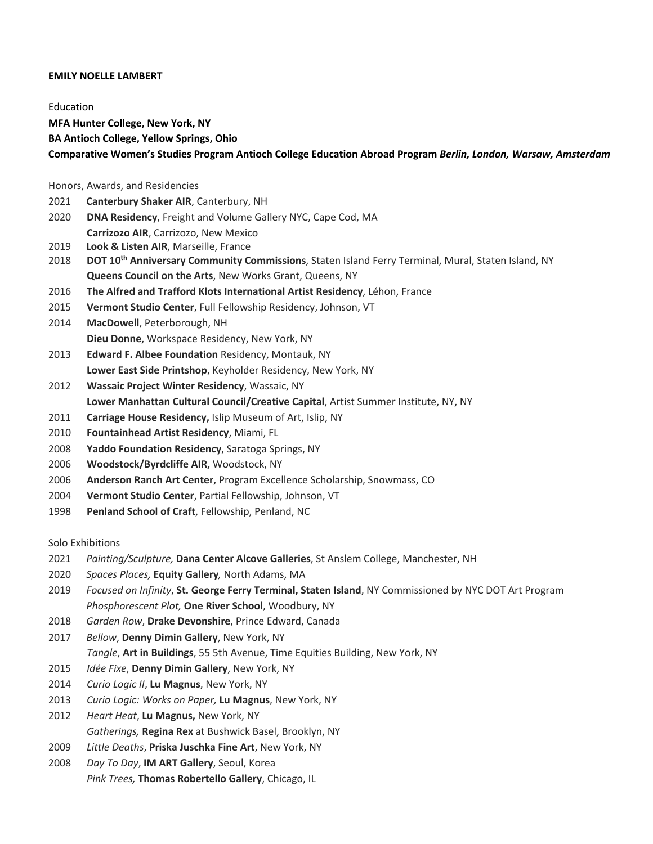### **EMILY NOELLE LAMBERT**

Education **MFA Hunter College, New York, NY BA Antioch College, Yellow Springs, Ohio Comparative Women's Studies Program Antioch College Education Abroad Program** *Berlin, London, Warsaw, Amsterdam*

### Honors, Awards, and Residencies

- **Canterbury Shaker AIR**, Canterbury, NH
- **DNA Residency**, Freight and Volume Gallery NYC, Cape Cod, MA **Carrizozo AIR**, Carrizozo, New Mexico
- **Look & Listen AIR**, Marseille, France
- **DOT 10th Anniversary Community Commissions**, Staten Island Ferry Terminal, Mural, Staten Island, NY **Queens Council on the Arts**, New Works Grant, Queens, NY
- **The Alfred and Trafford Klots International Artist Residency**, Léhon, France
- **Vermont Studio Center**, Full Fellowship Residency, Johnson, VT
- **MacDowell**, Peterborough, NH **Dieu Donne**, Workspace Residency, New York, NY
- **Edward F. Albee Foundation** Residency, Montauk, NY **Lower East Side Printshop**, Keyholder Residency, New York, NY
- **Wassaic Project Winter Residency**, Wassaic, NY
- **Lower Manhattan Cultural Council/Creative Capital**, Artist Summer Institute, NY, NY
- **Carriage House Residency,** Islip Museum of Art, Islip, NY
- **Fountainhead Artist Residency**, Miami, FL
- **Yaddo Foundation Residency**, Saratoga Springs, NY
- **Woodstock/Byrdcliffe AIR,** Woodstock, NY
- **Anderson Ranch Art Center**, Program Excellence Scholarship, Snowmass, CO
- **Vermont Studio Center**, Partial Fellowship, Johnson, VT
- **Penland School of Craft**, Fellowship, Penland, NC

### Solo Exhibitions

- *Painting/Sculpture,* **Dana Center Alcove Galleries**, St Anslem College, Manchester, NH
- *Spaces Places,* **Equity Gallery***,* North Adams, MA
- *Focused on Infinity*, **St. George Ferry Terminal, Staten Island**, NY Commissioned by NYC DOT Art Program *Phosphorescent Plot,* **One River School**, Woodbury, NY
- *Garden Row*, **Drake Devonshire**, Prince Edward, Canada
- *Bellow*, **Denny Dimin Gallery**, New York, NY *Tangle*, **Art in Buildings**, 55 5th Avenue, Time Equities Building, New York, NY
- *Idée Fixe*, **Denny Dimin Gallery**, New York, NY
- *Curio Logic II*, **Lu Magnus**, New York, NY
- *Curio Logic: Works on Paper,* **Lu Magnus**, New York, NY
- *Heart Heat*, **Lu Magnus,** New York, NY *Gatherings,* **Regina Rex** at Bushwick Basel, Brooklyn, NY
- *Little Deaths*, **Priska Juschka Fine Art**, New York, NY
- *Day To Day*, **IM ART Gallery**, Seoul, Korea *Pink Trees,* **Thomas Robertello Gallery**, Chicago, IL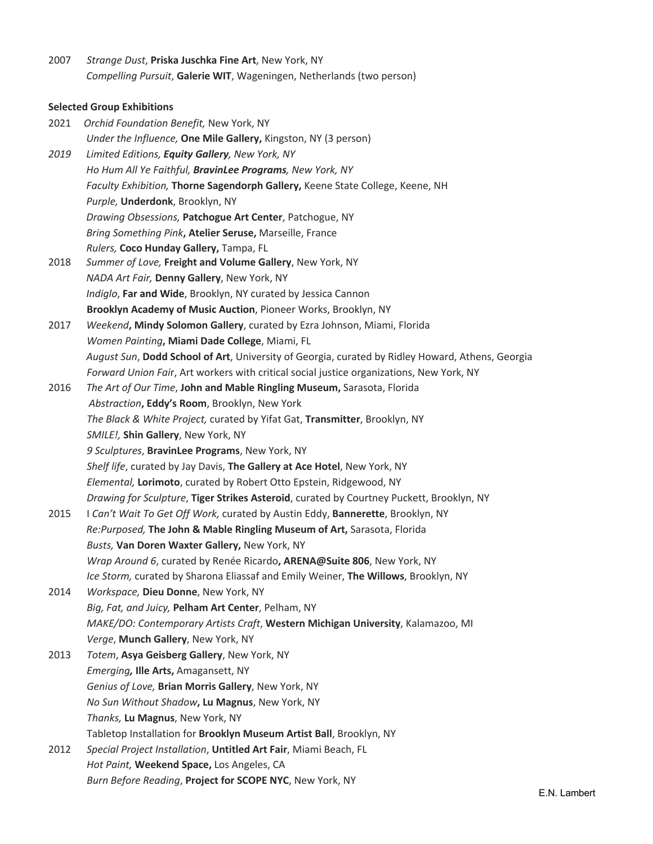2007 *Strange Dust*, **Priska Juschka Fine Art**, New York, NY *Compelling Pursuit*, **Galerie WIT**, Wageningen, Netherlands (two person)

# **Selected Group Exhibitions**

| 2021 | Orchid Foundation Benefit, New York, NY                                                          |
|------|--------------------------------------------------------------------------------------------------|
|      | Under the Influence, One Mile Gallery, Kingston, NY (3 person)                                   |
| 2019 | Limited Editions, Equity Gallery, New York, NY                                                   |
|      | Ho Hum All Ye Faithful, BravinLee Programs, New York, NY                                         |
|      | Faculty Exhibition, Thorne Sagendorph Gallery, Keene State College, Keene, NH                    |
|      | Purple, Underdonk, Brooklyn, NY                                                                  |
|      | Drawing Obsessions, Patchogue Art Center, Patchogue, NY                                          |
|      | Bring Something Pink, Atelier Seruse, Marseille, France                                          |
|      | Rulers, Coco Hunday Gallery, Tampa, FL                                                           |
| 2018 | Summer of Love, Freight and Volume Gallery, New York, NY                                         |
|      | NADA Art Fair, Denny Gallery, New York, NY                                                       |
|      | Indiglo, Far and Wide, Brooklyn, NY curated by Jessica Cannon                                    |
|      | Brooklyn Academy of Music Auction, Pioneer Works, Brooklyn, NY                                   |
| 2017 | Weekend, Mindy Solomon Gallery, curated by Ezra Johnson, Miami, Florida                          |
|      | Women Painting, Miami Dade College, Miami, FL                                                    |
|      | August Sun, Dodd School of Art, University of Georgia, curated by Ridley Howard, Athens, Georgia |
|      | Forward Union Fair, Art workers with critical social justice organizations, New York, NY         |
| 2016 | The Art of Our Time, John and Mable Ringling Museum, Sarasota, Florida                           |
|      | Abstraction, Eddy's Room, Brooklyn, New York                                                     |
|      | The Black & White Project, curated by Yifat Gat, Transmitter, Brooklyn, NY                       |
|      | SMILE!, Shin Gallery, New York, NY                                                               |
|      | 9 Sculptures, BravinLee Programs, New York, NY                                                   |
|      | Shelf life, curated by Jay Davis, The Gallery at Ace Hotel, New York, NY                         |
|      | Elemental, Lorimoto, curated by Robert Otto Epstein, Ridgewood, NY                               |
|      | Drawing for Sculpture, Tiger Strikes Asteroid, curated by Courtney Puckett, Brooklyn, NY         |
| 2015 | I Can't Wait To Get Off Work, curated by Austin Eddy, Bannerette, Brooklyn, NY                   |
|      | Re:Purposed, The John & Mable Ringling Museum of Art, Sarasota, Florida                          |
|      | Busts, Van Doren Waxter Gallery, New York, NY                                                    |
|      | Wrap Around 6, curated by Renée Ricardo, ARENA@Suite 806, New York, NY                           |
|      | Ice Storm, curated by Sharona Eliassaf and Emily Weiner, The Willows, Brooklyn, NY               |
| 2014 | Workspace, Dieu Donne, New York, NY                                                              |
|      | Big, Fat, and Juicy, Pelham Art Center, Pelham, NY                                               |
|      | MAKE/DO: Contemporary Artists Craft, Western Michigan University, Kalamazoo, MI                  |
|      | Verge, Munch Gallery, New York, NY                                                               |
| 2013 | Totem, Asya Geisberg Gallery, New York, NY                                                       |
|      | Emerging, Ille Arts, Amagansett, NY                                                              |
|      | Genius of Love, Brian Morris Gallery, New York, NY                                               |
|      | No Sun Without Shadow, Lu Magnus, New York, NY                                                   |
|      | Thanks, Lu Magnus, New York, NY                                                                  |
|      | Tabletop Installation for Brooklyn Museum Artist Ball, Brooklyn, NY                              |
| 2012 | Special Project Installation, Untitled Art Fair, Miami Beach, FL                                 |
|      | Hot Paint, Weekend Space, Los Angeles, CA                                                        |
|      | Burn Before Reading, Project for SCOPE NYC, New York, NY                                         |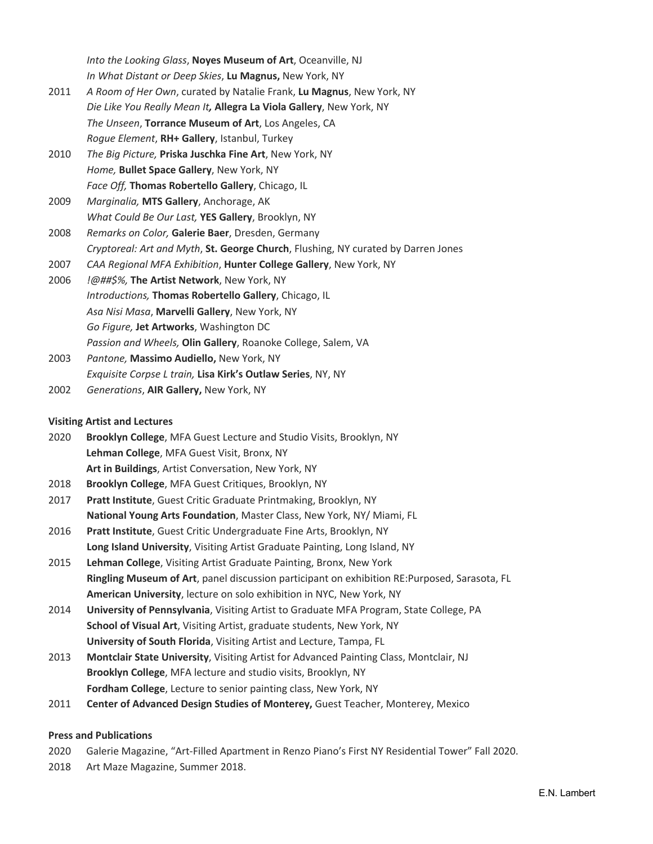*Into the Looking Glass*, **Noyes Museum of Art**, Oceanville, NJ *In What Distant or Deep Skies*, **Lu Magnus,** New York, NY

- 2011 *A Room of Her Own*, curated by Natalie Frank, **Lu Magnus**, New York, NY *Die Like You Really Mean It,* **Allegra La Viola Gallery**, New York, NY *The Unseen*, **Torrance Museum of Art**, Los Angeles, CA *Rogue Element*, **RH+ Gallery**, Istanbul, Turkey
- 2010 *The Big Picture,* **Priska Juschka Fine Art**, New York, NY *Home,* **Bullet Space Gallery**, New York, NY *Face Off,* **Thomas Robertello Gallery**, Chicago, IL
- 2009 *Marginalia,* **MTS Gallery**, Anchorage, AK *What Could Be Our Last,* **YES Gallery**, Brooklyn, NY
- 2008 *Remarks on Color,* **Galerie Baer**, Dresden, Germany *Cryptoreal: Art and Myth*, **St. George Church**, Flushing, NY curated by Darren Jones
- 2007 *CAA Regional MFA Exhibition*, **Hunter College Gallery**, New York, NY
- 2006 *!@##\$%,* **The Artist Network**, New York, NY *Introductions,* **Thomas Robertello Gallery**, Chicago, IL *Asa Nisi Masa*, **Marvelli Gallery**, New York, NY *Go Figure,* **Jet Artworks**, Washington DC *Passion and Wheels,* **Olin Gallery**, Roanoke College, Salem, VA
- 2003 *Pantone,* **Massimo Audiello,** New York, NY *Exquisite Corpse L train,* **Lisa Kirk's Outlaw Series**, NY, NY
- 2002 *Generations*, **AIR Gallery,** New York, NY

## **Visiting Artist and Lectures**

- 2020 **Brooklyn College**, MFA Guest Lecture and Studio Visits, Brooklyn, NY **Lehman College**, MFA Guest Visit, Bronx, NY **Art in Buildings**, Artist Conversation, New York, NY
- 2018 **Brooklyn College**, MFA Guest Critiques, Brooklyn, NY
- 2017 **Pratt Institute**, Guest Critic Graduate Printmaking, Brooklyn, NY **National Young Arts Foundation**, Master Class, New York, NY/ Miami, FL
- 2016 **Pratt Institute**, Guest Critic Undergraduate Fine Arts, Brooklyn, NY **Long Island University**, Visiting Artist Graduate Painting, Long Island, NY
- 2015 **Lehman College**, Visiting Artist Graduate Painting, Bronx, New York **Ringling Museum of Art**, panel discussion participant on exhibition RE:Purposed, Sarasota, FL **American University**, lecture on solo exhibition in NYC, New York, NY
- 2014 **University of Pennsylvania**, Visiting Artist to Graduate MFA Program, State College, PA **School of Visual Art**, Visiting Artist, graduate students, New York, NY **University of South Florida**, Visiting Artist and Lecture, Tampa, FL
- 2013 **Montclair State University**, Visiting Artist for Advanced Painting Class, Montclair, NJ **Brooklyn College**, MFA lecture and studio visits, Brooklyn, NY **Fordham College**, Lecture to senior painting class, New York, NY
- 2011 **Center of Advanced Design Studies of Monterey,** Guest Teacher, Monterey, Mexico

## **Press and Publications**

- 2020 Galerie Magazine, "Art-Filled Apartment in Renzo Piano's First NY Residential Tower" Fall 2020.
- 2018 Art Maze Magazine, Summer 2018.